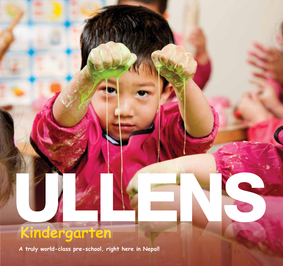# ULLENS **Kindergarten**

**A truly world-class pre-school, right here in Nepal!**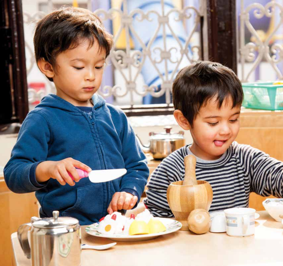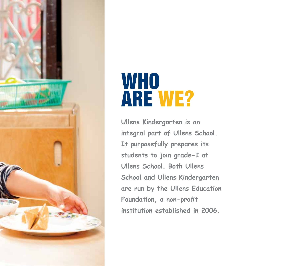

## WHO ARE WE?

**Ullens Kindergarten is an integral part of Ullens School. It purposefully prepares its students to join grade-I at Ullens School. Both Ullens School and Ullens Kindergarten are run by the Ullens Education Foundation, a non-profit institution established in 2006.**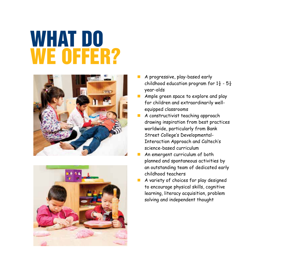# WHAT DO WE OFFER?





- n A progressive, play-based early childhood education program for  $1\frac{1}{2}$  -  $5\frac{1}{2}$ year-olds
- $\blacksquare$  Ample green space to explore and play for children and extraordinarily wellequipped classrooms
- **n** A constructivist teaching approach drawing inspiration from best practices worldwide, particularly from Bank Street College's Developmental-Interaction Approach and Caltech's science-based curriculum
- An emergent curriculum of both planned and spontaneous activities by an outstanding team of dedicated early childhood teachers
- $\blacksquare$  A variety of choices for play designed to encourage physical skills, cognitive learning, literacy acquisition, problem solving and independent thought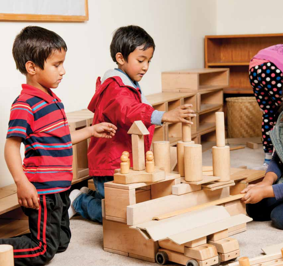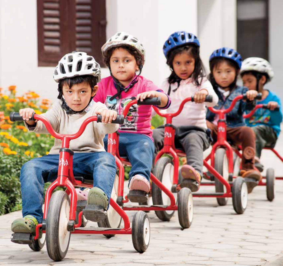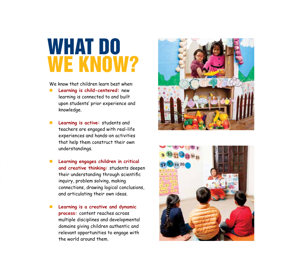### WHAT DO WE KNOW?

We know that children learn best when:

- **n** Learning is child-centered: new learning is connected to and built upon students' prior experience and knowledge.
- **n** Learning is active: students and teachers are engaged with real-life experiences and hands-on activities that help them construct their own understandings.
- **n** Learning engages children in critical **and creative thinking:** students deepen their understanding through scientific inquiry, problem solving, making connections, drawing logical conclusions, and articulating their own ideas.
- **n** Learning is a creative and dynamic **process:** content reaches across multiple disciplines and developmental domains giving children authentic and relevant opportunities to engage with the world around them.



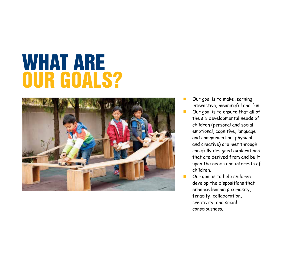# WHAT ARE OUR GOALS?



- **n** Our goal is to make learning interactive, meaningful and fun.
- **n** Our goal is to ensure that all of the six developmental needs of children (personal and social, emotional, cognitive, language and communication, physical, and creative) are met through carefully designed explorations that are derived from and built upon the needs and interests of children.
- **n** Our goal is to help children develop the dispositions that enhance learning: curiosity, tenacity, collaboration, creativity, and social consciousness.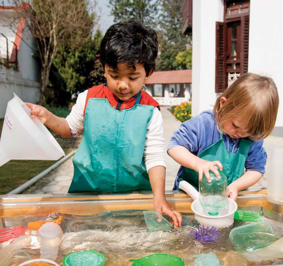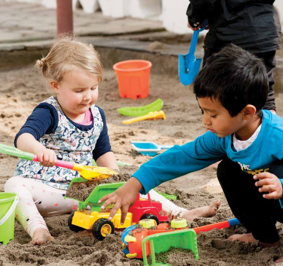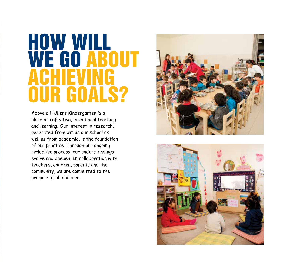#### HOW WILL WE GO ABOUT ACHIEVING OUR GOALS?

Above all, Ullens Kindergarten is a place of reflective, intentional teaching and learning. Our interest in research, generated from within our school as well as from academia, is the foundation of our practice. Through our ongoing reflective process, our understandings evolve and deepen. In collaboration with teachers, children, parents and the community, we are committed to the promise of all children.